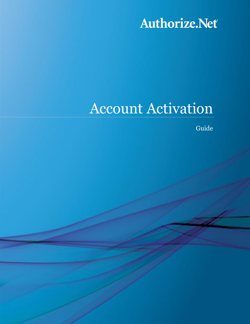Authorize.Net

# Account Activation

Guide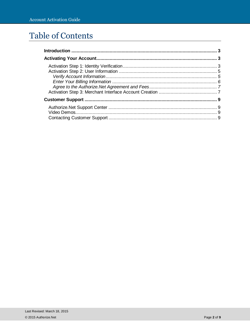# Table of Contents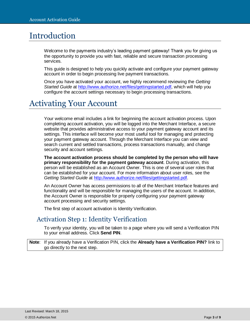# <span id="page-2-0"></span>Introduction

Welcome to the payments industry's leading payment gateway! Thank you for giving us the opportunity to provide you with fast, reliable and secure transaction processing services.

This guide is designed to help you quickly activate and configure your payment gateway account in order to begin processing live payment transactions.

Once you have activated your account, we highly recommend reviewing the *Getting Started Guide* at [http://www.authorize.net/files/gettingstarted.pdf,](http://www.authorize.net/files/gettingstarted.pdf) which will help you configure the account settings necessary to begin processing transactions.

# <span id="page-2-1"></span>Activating Your Account

Your welcome email includes a link for beginning the account activation process. Upon completing account activation, you will be logged into the Merchant Interface, a secure website that provides administrative access to your payment gateway account and its settings. This interface will become your most useful tool for managing and protecting your payment gateway account. Through the Merchant Interface you can view and search current and settled transactions, process transactions manually, and change security and account settings.

**The account activation process should be completed by the person who will have primary responsibility for the payment gateway account**. During activation, this person will be established as an Account Owner. This is one of several user roles that can be established for your account. For more information about user roles, see the *Getting Started Guide* at [http://www.authorize.net/files/gettingstarted.pdf.](http://www.authorize.net/files/gettingstarted.pdf)

An Account Owner has access permissions to all of the Merchant Interface features and functionality and will be responsible for managing the users of the account. In addition, the Account Owner is responsible for properly configuring your payment gateway account processing and security settings.

The first step of account activation is Identity Verification.

### <span id="page-2-2"></span>Activation Step 1: Identity Verification

To verify your identity, you will be taken to a page where you will send a Verification PIN to your email address. Click **Send PIN**.

**Note**: If you already have a Verification PIN, click the **Already have a Verification PIN?** link to go directly to the next step.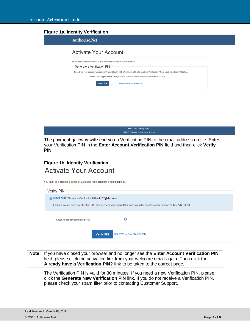#### **Figure 1a. Identity Verification**

| Authorize.Net                                                                                                                                                                                                                                                                                                                                                                                                         |  |
|-----------------------------------------------------------------------------------------------------------------------------------------------------------------------------------------------------------------------------------------------------------------------------------------------------------------------------------------------------------------------------------------------------------------------|--|
| <b>Activate Your Account</b>                                                                                                                                                                                                                                                                                                                                                                                          |  |
| You must be a business owner or authorized representative of your business.<br>Generate a Verification PIN<br>To activate your account, we must verify your identity with a Verification PIN. To receive a Verification PIN via email click Send PIN below.<br>Email: rv****@visa.com Not your email address? Contact customer support at 877-447-3938.<br><b>Send PIN</b><br><b>Already have a Verification PIN?</b> |  |
|                                                                                                                                                                                                                                                                                                                                                                                                                       |  |
|                                                                                                                                                                                                                                                                                                                                                                                                                       |  |
| Terms of Use Privacy Policy<br>@ 2015. Authorize.Net. All rights reserved.                                                                                                                                                                                                                                                                                                                                            |  |

The payment gateway will send you a Verification PIN to the email address on file. Enter your Verification PIN in the **Enter Account Verification PIN** field and then click **Verify PIN**.

### **Figure 1b. Identity Verification Activate Your Account**

| You must be a business owner or authorized representative of your business.                                                      |
|----------------------------------------------------------------------------------------------------------------------------------|
| Verify PIN                                                                                                                       |
| IMPORTANT: We sent a Verification PIN to In****@visa.com.                                                                        |
| If you did not receive a Verification PIN, please check your spam filter prior to contacting Customer Support at 1-877-447-3938. |
| ο<br><b>Enter Account Verification PIN:</b>                                                                                      |
| <b>Generate New Verification PIN</b><br><b>Verify PIN</b>                                                                        |

**Note**: If you have closed your browser and no longer see the **Enter Account Verification PIN** field, please click the activation link from your welcome email again. Then click the **Already have a Verification PIN?** link to be taken to the correct page.

The Verification PIN is valid for 30 minutes. If you need a new Verification PIN, please click the **Generate New Verification PIN** link. If you do not receive a Verification PIN, please check your spam filter prior to contacting Customer Support.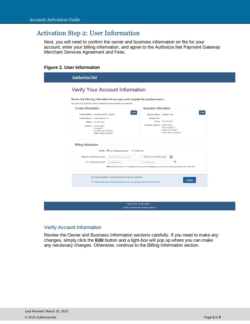# <span id="page-4-0"></span>Activation Step 2: User Information

Next, you will need to confirm the owner and business information on file for your account, enter your billing information, and agree to the Authorize.Net Payment Gateway Merchant Services Agreement and Fees.

#### **Figure 2. User Information**

| Review the following information for accuracy and complete the questions below.                                     |
|---------------------------------------------------------------------------------------------------------------------|
|                                                                                                                     |
| <b>Business Information</b>                                                                                         |
| Edit<br><b>Business Name: Activation Test</b>                                                                       |
| Website URL:                                                                                                        |
| Phone: 425-425-4242                                                                                                 |
| Business Address: Rint4th street<br>Rint bizaddress2<br>rintbiz city, RI 98001<br>United States of America          |
|                                                                                                                     |
| O Credit Card                                                                                                       |
| -- Select Account Owner Type --<br>$\checkmark$                                                                     |
| $\mathbf 0$<br>Account Number                                                                                       |
| Note: We accept only U.S. checking accounts. If your checking account is not U.S. based, please pay by Credit Card. |
|                                                                                                                     |

#### <span id="page-4-1"></span>Verify Account Information

Review the Owner and Business Information sections carefully. If you need to make any changes, simply click the **Edit** button and a light-box will pop up where you can make any necessary changes. Otherwise, continue to the Billing Information section.

Terms of Use Privacy Policy @ 2015. Authorize.Net. All rights reserved.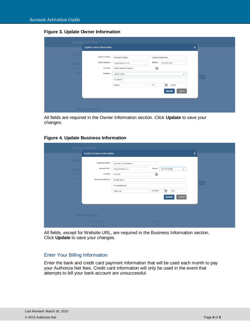#### **Figure 3. Update Owner Information**

|               | <b>Authorize.Net</b>       |                          |                           |     |                               |
|---------------|----------------------------|--------------------------|---------------------------|-----|-------------------------------|
| Veri          | Update Owner Information   |                          |                           | ΙX, |                               |
|               | Owner's Name:              | MerchantUpdated          | AustraliaSinglePage       |     |                               |
| <b>Review</b> | <b>Email Address:</b>      | rvarghes@visa.com        | Mobile:<br>425-425-4545   |     |                               |
| You must I    | Country:                   | United States of America | $\blacktriangledown$      |     |                               |
| Owr           | Address:                   | rintOwn apt12            | $\times$                  |     |                               |
|               |                            | 5th street11             |                           |     | Edit $\overline{\phantom{a}}$ |
|               |                            | Renton                   | $\check{}$<br>TX<br>98002 |     |                               |
|               |                            |                          | Cancel<br>Update          |     |                               |
|               |                            |                          |                           |     |                               |
|               |                            |                          |                           |     |                               |
|               | <b>Billing Information</b> |                          |                           |     |                               |

All fields are required in the Owner Information section. Click **Update** to save your changes.

#### **Figure 4. Update Business Information**

|                 | Authorize.Net                      |                                 |                              |                              |          |                               |
|-----------------|------------------------------------|---------------------------------|------------------------------|------------------------------|----------|-------------------------------|
|                 | <b>Update Business Information</b> |                                 |                              |                              |          | ΙX,                           |
| Ver             | <b>Business Name:</b>              | <b>Activation Test Business</b> |                              |                              |          |                               |
| <b>Review</b>   | Website URL:                       | www.addednow.url                | Phone:                       | 425-425-0000                 | $\times$ |                               |
| <b>You must</b> | Country:                           | Australia                       | $\overline{\phantom{0}}$     |                              |          |                               |
| Own             | <b>Business Address:</b>           | Rint4th street                  |                              |                              |          |                               |
|                 |                                    | Rint bizaddress2                |                              |                              |          | Edit $\overline{\phantom{a}}$ |
|                 |                                    | rintbiz city                    | AU-NSW                       | $\blacktriangledown$<br>1234 |          |                               |
|                 |                                    |                                 |                              | Update                       | Cancel   |                               |
|                 |                                    |                                 |                              |                              |          |                               |
|                 |                                    |                                 |                              |                              |          |                               |
|                 | <b>Billing Information</b>         |                                 |                              |                              |          |                               |
|                 | <b>Credit Card Number:</b>         |                                 | <b>Expiration Date:</b> MMYY |                              |          |                               |
|                 | Name on Card:                      |                                 |                              |                              |          |                               |

All fields, except for Website URL, are required in the Business Information section. Click **Update** to save your changes.

#### <span id="page-5-0"></span>Enter Your Billing Information

Enter the bank and credit card payment information that will be used each month to pay your Authorize.Net fees. Credit card information will only be used in the event that attempts to bill your bank account are unsuccessful.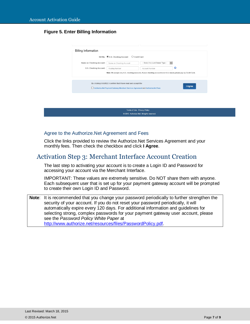#### **Figure 5. Enter Billing Information**

| ω<br>U.S. Checking Account:<br>Account Number<br>Routing Number<br>Note: We accept only U.S. checking accounts. If your checking account is not U.S. based, please pay by Credit Card. |
|----------------------------------------------------------------------------------------------------------------------------------------------------------------------------------------|
|                                                                                                                                                                                        |
| By clicking I AGREE I confirm that I have read and accept the<br>I Agree<br>Authorize.Net Payment Gateway Merchant Services Agreement and Authorize.Net Fees                           |
|                                                                                                                                                                                        |

#### <span id="page-6-0"></span>Agree to the Authorize.Net Agreement and Fees

Click the links provided to review the Authorize.Net Services Agreement and your monthly fees. Then check the checkbox and click **I Agree**.

### <span id="page-6-1"></span>Activation Step 3: Merchant Interface Account Creation

The last step to activating your account is to create a Login ID and Password for accessing your account via the Merchant Interface.

IMPORTANT: These values are extremely sensitive. Do NOT share them with anyone. Each subsequent user that is set up for your payment gateway account will be prompted to create their own Login ID and Password.

**Note**: It is recommended that you change your password periodically to further strengthen the security of your account. If you do not reset your password periodically, it will automatically expire every 120 days. For additional information and guidelines for selecting strong, complex passwords for your payment gateway user account, please see the *Password Policy White Paper* at [http://www.authorize.net/resources/files/PasswordPolicy.pdf.](http://www.authorize.net/resources/files/PasswordPolicy.pdf)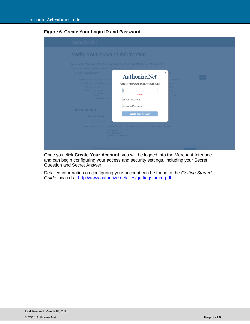#### **Figure 6. Create Your Login ID and Password**

| <b>Authorize.Net</b>                                                                                                                                                                                                                                                  |                                                                                                                                                                                                 |                                                                                                  |      |
|-----------------------------------------------------------------------------------------------------------------------------------------------------------------------------------------------------------------------------------------------------------------------|-------------------------------------------------------------------------------------------------------------------------------------------------------------------------------------------------|--------------------------------------------------------------------------------------------------|------|
| <b>Verify Your Account Information</b>                                                                                                                                                                                                                                |                                                                                                                                                                                                 |                                                                                                  |      |
| You must be a business owner or authorized representative of a busines                                                                                                                                                                                                | Review the following information for accuracy and complete the questions below.                                                                                                                 |                                                                                                  |      |
| Owner Information<br>Owner's Name: MerchantUpdated Au<br>Email Address: rvarghes@visa.com<br>Mobile: 425-425-4545<br>Address: rintOwn apt12<br>5th street11<br>Renton, TX 98002<br><b>United States of Ame</b><br><b>Billing Information</b><br>Credit Card Number: 4 | Authorize.Net<br><b>Create Your Authorize.Net Account</b><br>Required<br>Enter Password<br>Confirm Password<br><b>Create Your Account</b>                                                       | x<br><b>Test Business</b><br>hu.wonbs<br>0000<br>eet<br>dress <sub>2</sub><br><b>AU-NSW 1234</b> | Edit |
| Name on Card: F<br>AU -                                                                                                                                                                                                                                               | Credit Card Billing Address: $\bigcirc$ Use My Address $\bigcirc$ Use Business Address $\bigcirc$ Use Another Address<br>Rint4th street<br><b>Rint bizaddress2</b><br>rintbiz city, AU-NSW 1234 |                                                                                                  |      |
|                                                                                                                                                                                                                                                                       | By clicking I AGREE I confirm that I have read and accept the                                                                                                                                   |                                                                                                  |      |

Once you click **Create Your Account**, you will be logged into the Merchant Interface and can begin configuring your access and security settings, including your Secret Question and Secret Answer.

Detailed information on configuring your account can be found in the *Getting Started Guide* located at [http://www.authorize.net/files/gettingstarted.pdf.](http://www.authorize.net/files/gettingstarted.pdf)